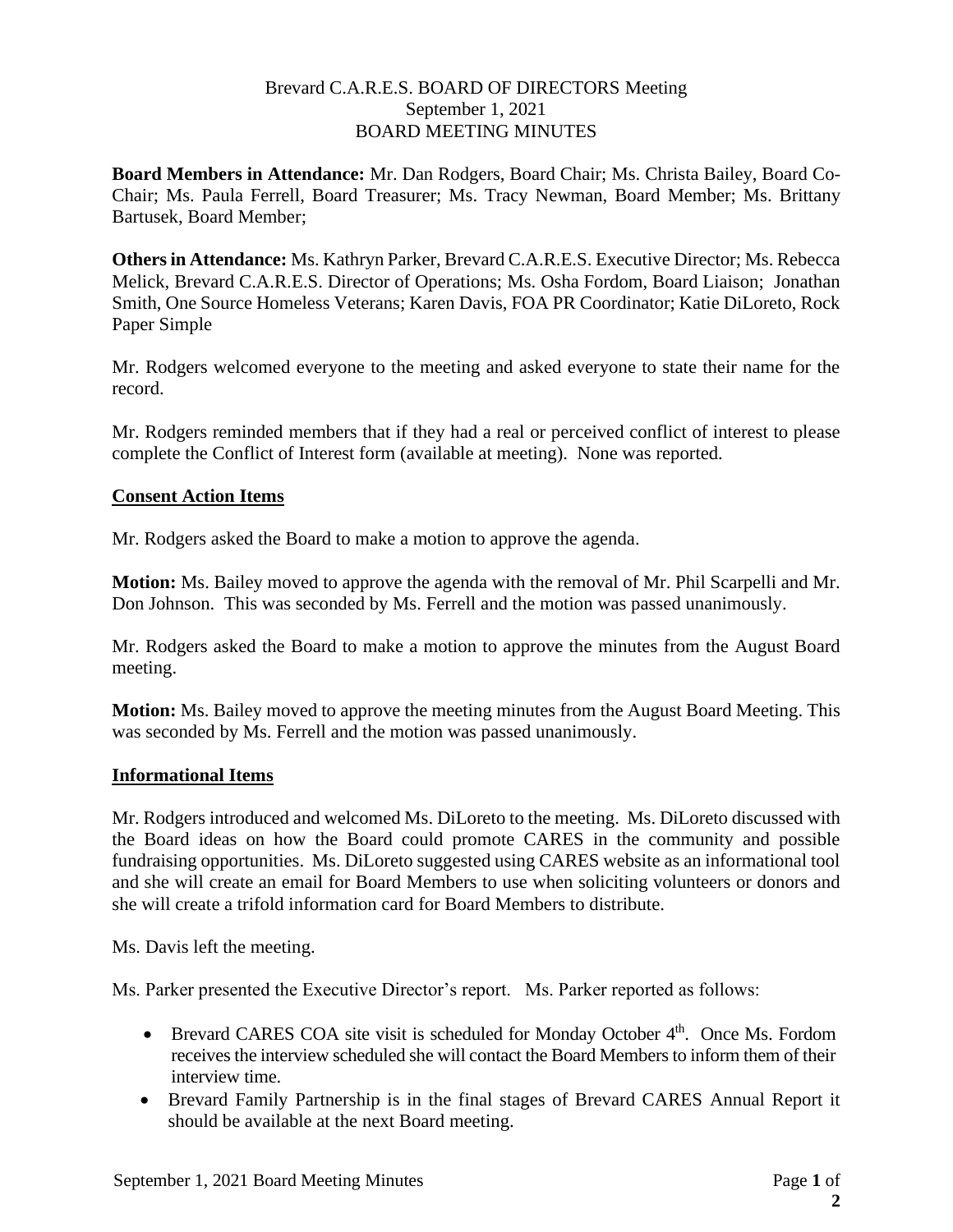### Brevard C.A.R.E.S. BOARD OF DIRECTORS Meeting September 1, 2021 BOARD MEETING MINUTES

**Board Members in Attendance:** Mr. Dan Rodgers, Board Chair; Ms. Christa Bailey, Board Co-Chair; Ms. Paula Ferrell, Board Treasurer; Ms. Tracy Newman, Board Member; Ms. Brittany Bartusek, Board Member;

**Others in Attendance:** Ms. Kathryn Parker, Brevard C.A.R.E.S. Executive Director; Ms. Rebecca Melick, Brevard C.A.R.E.S. Director of Operations; Ms. Osha Fordom, Board Liaison; Jonathan Smith, One Source Homeless Veterans; Karen Davis, FOA PR Coordinator; Katie DiLoreto, Rock Paper Simple

Mr. Rodgers welcomed everyone to the meeting and asked everyone to state their name for the record.

Mr. Rodgers reminded members that if they had a real or perceived conflict of interest to please complete the Conflict of Interest form (available at meeting). None was reported.

## **Consent Action Items**

Mr. Rodgers asked the Board to make a motion to approve the agenda.

**Motion:** Ms. Bailey moved to approve the agenda with the removal of Mr. Phil Scarpelli and Mr. Don Johnson. This was seconded by Ms. Ferrell and the motion was passed unanimously.

Mr. Rodgers asked the Board to make a motion to approve the minutes from the August Board meeting.

**Motion:** Ms. Bailey moved to approve the meeting minutes from the August Board Meeting. This was seconded by Ms. Ferrell and the motion was passed unanimously.

### **Informational Items**

Mr. Rodgers introduced and welcomed Ms. DiLoreto to the meeting. Ms. DiLoreto discussed with the Board ideas on how the Board could promote CARES in the community and possible fundraising opportunities. Ms. DiLoreto suggested using CARES website as an informational tool and she will create an email for Board Members to use when soliciting volunteers or donors and she will create a trifold information card for Board Members to distribute.

Ms. Davis left the meeting.

Ms. Parker presented the Executive Director's report. Ms. Parker reported as follows:

- Brevard CARES COA site visit is scheduled for Monday October 4<sup>th</sup>. Once Ms. Fordom receives the interview scheduled she will contact the Board Members to inform them of their interview time.
- Brevard Family Partnership is in the final stages of Brevard CARES Annual Report it should be available at the next Board meeting.